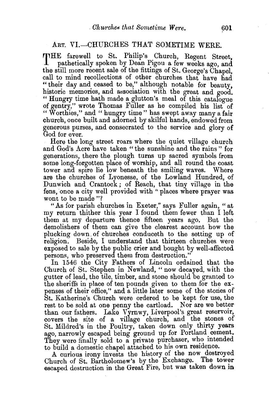## ART. VI.-CHURCHES THAT SOMETIME WERE.

THE farewell to St. Philip's Church, Regent Street, pathetically spoken by Dean Pigou a few weeks ago, and the still more recent sale of the fittings of St. George's Chapel, call to mind recollections of other churches that have had "their day and ceased to be," although notable for beauty. historic memories, and association with the great and good. " Hungry time hath made a glutton's meal of this catalogue of gentry," wrote Thomas Fuller as he compiled his list of " Worthies," and "hungry time" has swept away many a fair church, once built and adorned by skilful hands, endowed from generous purses, and consecrated to the service and glory of God for ever.

Here the long street roars where the quiet village church and God's Acre have taken "the sunshine and the rains" for generations, there the plough turns up sacred symbols from some long-forgotten place of worship, and all round the coast tower and spire lie low beneath the smiling waves. Where are the churches of Lyonesse, of the Lowland Hundred, of Dunwich and Crantock ; of Reach, that tiny village in the fens, once a city well provided with "places where prayer was wont to be made "?

"As for parish churches in Exeter," says Fuller again, " at my return thither this year I found them fewer than I left them at my departure thence fifteen years ago. But the demolishers of them can give the clearest account how the plucking down. of churches conduceth to the setting up of religion. Beside, I understand that thirteen churches were exposed to sale by the public crier and bought by well-affected persons, who preserved them from destruction."

In 1546 the City Fathers of Lincoln ordained that the Church of St. Stephen in Newland, "now decayed, with the gutter of lead, the tile, timber, and stone should be granted to the sheriffs in place of ten pounds given to them for the expenses of their office," and a little later some of the stones of St. Katherine's Church were ordered to be kept for use, the rest to be sold at one penny the cartload. Nor are we better than our fathers. Lake Vyrnwy, Liverpool's great reservoir, covers the site of a village church, and the stones of St. Mildred's in the Poultry, taken down only thirty years ago, narrowly escaped being ground up for Portland cement. They were finally sold to a private purchaser, who intended to build a domestic chapel attached to his own residence.

A curious irony invests the history of the now destroyed Church of St. Bartholomew's by the Exchange. The tower escaped destruction in the Great Fire, but was taken down in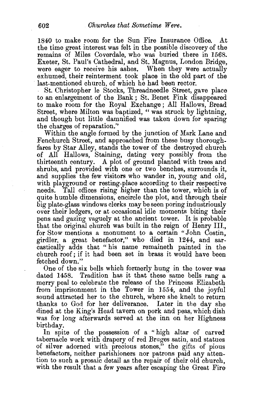1840 to make room for the Sun Fire Insurance Office. At the time great interest was felt in the possible discovery of the remains of Miles Coverdale, who was buried there in 1568. Exeter, St. Paul's Cathedral, and St. Magnus, London Bridge, were eager to receive his ashes. When they were actually exhumed, their reinterment took place in the old part of the last-mentioned church, of which he had been rector.

St. Christopher le Stocks, Threadneedle Street, gave place to an enlargement of the Bank *;* St. Benet Fink disappeared to make room for the Royal Exchange ; All Hallows, Bread Street, where Milton was baptized, " was struck by lightning, and though but little damnified was taken down for sparing the charges of reparation.''

Within the angle formed by the junction of Mark Lane and Fenchurch Street, and approached from these busy thoroughfares by Star Alley, stands the tower of the destroyed church of All Hallows, Staining, dating very possibly from the thirteenth eentury. A plot of ground planted with trees and shrubs, and provided with one or two benches, surrounds it, and supplies the few visitors who wander in, young and old, with playground or resting-place according to their respective needs. Tall offices rising higher than the tower, which is of quite humble dimensions, encircle the plot, and through their big plate-glass windows clerks may be seen poring industriously over their ledgers, or at occasional idle moments biting their pens and gazing vaguely at the ancient tower. It is probable that the original church was built in the reign of Henry III., for Stow mentions a monument to a certain "John Costin, girdler, a great benefactor," who died in 1244, and sarcastically adds that " his name remaineth painted in the church roof; if it had been set in brass it would have been fetched down."

One of the six bells which formerly hung in the tower was dated 1458. Tradition has it that these same bells rang a merry peal to celebrate the release of the Princess Elizabeth from imprisonment in the Tower in 1554, and the joyful sound attracted her to the church, where she knelt to return thanks to God for her deliverance. Later in the day she dined at the King's Head tavern on pork and peas, which dish was for long afterwards served at the inn on her Highness birthday.

In spite of the possession of a " high altar of carved tabernacle work with drapery of red Bruges satin, and statues of silver adorned with precious stones," the gifts of pious benefactors, neither parishioners nor patrons paid any atten tion to such a prosaic detail as the repair of their old church, with the result that a few years after escaping the Great Fire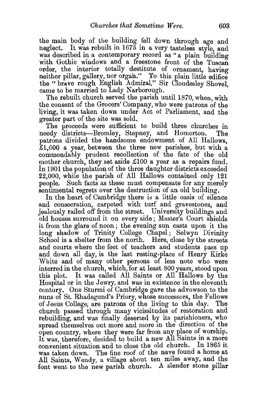the main body of the building fell down through age and neglect. It was rebuilt in 1675 in a very tasteless style, and was described in a contemporary record as " a plain building with Gothic windows and a freestone front of the Tuscan order, the interior totally destitute of ornament, having neither pillar, gallery, nor organ." To this plain little edifice the "brave rough English Admiral," Sir Cloudesley Shovel, came to be married to Lady Narborough.

The rebuilt church served the parish until 1870, when, with the consent of the Grocers' Company, who were patrons of the living, it was taken down under Act of Parliament, and the greater part of the site was sold.

The proceeds were sufficient to build three churches in needy districts-Bromley, Stepney, and Homerton. The patrons divided the handsome endowment of All Hallows, £1,600 a year, between the three new parishes, but with a commendably prudent recollection of the fate of the old mother church, they set aside £100 a year as a repairs fund. In 1901 the population of the three daughter districts exceeded 22,000, while the parish of All Hallows contained only 121 people. Such facts as these must compensate for any merely sentimental regrets over the destruction of an old building.

In the heart of Cambridge there is a little oasis of silence and consecration, carpeted with turf and gravestones, and jealously railed off from the street. University buildings and old houses surround it on every side ; Master's Court shields it from the glare of noon; the evening sun casts upon it the long shadow of Trinity College Chapel; Selwyn Divinity School is a shelter from the north. Here, close by the streets and courts where the feet of teachers and students pass up and down all day, is the last resting-place of Henry Kirke White and of many other persons of less note who were interred in the church, which, for at least 800 years, stood upon this plot. It was called All Saints or All Hallows by the Hospital or in the Jewry, and was in existence in the eleventh century. One Sturmi of Cambridge gave the advowson to the nuns of St. Rhadegund's Priory, whose successors, the Fellows of Jesus College, are patrons of the living to this day. The church passed through many vicissitudes of restoration and rebuilding, and was finally deserted by its parishioners, who spread themselves out more and more in the direction of the open country, where they were far from any place of worship. It was, therefore, decided to build a new All Saints in a more convenient situation and to close the old church. In 1865 it was taken down. The fine roof of the nave found a home at All Saints, Wendy, a village about ten miles away, and the font went to the new parish church. A slender stone pillar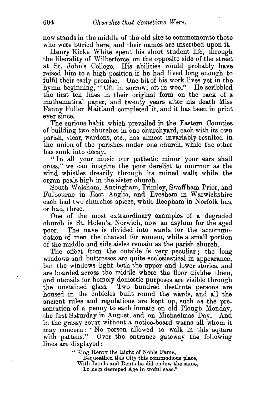now stands in the middle of the old site to commemorate those who were buried here, and their names are inscribed upon it.

Henry Kirke White spent his short student life, through the liberality of Wilberforce, on the opposite side of the street at St. John's College. His abilities would probably have raised him to a high position if he had lived long enough to fulfil their early promise. One bit of his work lives yet in the hymn beginning, "Oft in sorrow, oft in woe." He scribbled the first ten lines in their original form on the back of a mathematical paper, and twenty years after his death Miss FannY. Fuller Maitland completed it, and it has been in print ever since.

The curious habit which prevailed in the Eastern Counties of building two churches in one churchyard, each with its own parish, vicar, wardens, etc., has almost invariably resulted in the union of the parishes under one church, while the other has sunk into decay.

" In all your music our pathetic minor your ears shall cross," we can imagine the poor derelict to murmur as the wind whistles drearily through its ruined walls while the organ peals high in the sister church.

South Walsham, Antingham, Trimley, Swaffham Prior, and Fulbourne in East Anglia, and Evesham in Warwickshire each had two churches apiece, while Reepham in Norfolk has, or had, three.

One of the most extraordinary examples of a degraded church is St. Helen's, Norwich, now an asylum for the aged poor. The nave is divided into wards for the accommodation of men, the chancel for women, while a small portion of the middle and side aisles remain as the parish church.

The effect from the outside is very peculiar; the long windows and buttresses are quite ecclesiastical in appearance, but the windows light both the upper and lower stories, and are boarded across the middle where the floor divides them, and utensils for homely domestic purposes are visible through the unstained glass. Two hundred destitute persons are housed in the cubicles built round the wards, and all the ancient rules and regulations are kept up, such as the presentation of a penny to each inmate on old Plough Monday, the first Saturday in August, and on Michaelmas Day. And in the grassy court without a notice-board warns all whom it may concern: "No person allowed to walk in this square with pattens." Over the entrance gateway the following lines are displayed:

" King Henry the Eight of Noble Fame,

Bequeathed this City this commodious place,

With Lands and Rents he did endow the same,

To help decreped Age in woful case.''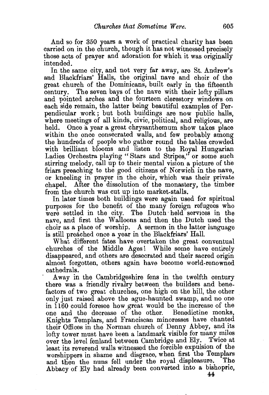And so for 350 years a work of practical charity has been carried on in the church, though it has not witnessed precisely those acts of prayer and adoration for which it was originally intended.

In the same city, and not very far away, are St. Andrew's and Blackfriars' Halls, the original nave and choir of the great church of the Dominicans, built early in the fifteenth The seven bays of the nave with their lofty pillars and pointed arches and the fourteen clerestory windows on each side remain, the latter being beautiful examples of Perpendicular work ; but both buildings are now public halls, where meetings of all kinds, civic, political, and religious, are held. Once a year a great chrysanthemum show takes place within the once consecrated walls, and few probably among the hundreds of people who gather round the tables crowded with brilliant blooms and listen to the Royal Hungarian Ladies Orchestra playing " Stars and Stripes," or some such stirring melody, call up to their mental vision a picture of the friars preaching to the good citizens of Norwich in the nave, or kneeling in prayer in the choir, which was their private chapel. After the dissolution of the monastery, the timber from the church was cut up into market-stalls.

In later times both buildings were again used for spiritual purposes for the benefit of the many foreign refugees who were settled in the city. The Dutch held services in the nave, and first the Walloons and then the Dutch used the choir as a place of worship. A sermon in the latter language is still preached once a year in the Blackfriars' Hall.

What different fates have overtaken the great conventual churches of the Middle Ages! While some have entirely disappeared, and others are desecrated and their sacred origin almost forgotten, others again have become world-renowned cathedrals.

Away in the Cambridgeshire fens in the twelfth century there was a friendly rivalry between the builders and benefactors of two great churches, one high on the hill, the other only just raised above the ague-haunted swamp, and no one in 1160 could foresee how great would be the increase of the one and the decrease of the other. Knights Templars, and Franciscan minoresses have chanted their Offices in the Norman church of Denny Abbey, and 1ts lofty tower must have been a landmark visible for many miles over the level fenland between Cambridge and Ely. Twice at least its reverend walls witnessed the forcible expulsion of the worshippers in shame and disgrace, when first the Templars and then the nuns fell under the royal displeasure. The and then the nuns fell under the royal displeasure. Abbacy of Ely had already been converted into a bishopric,

44